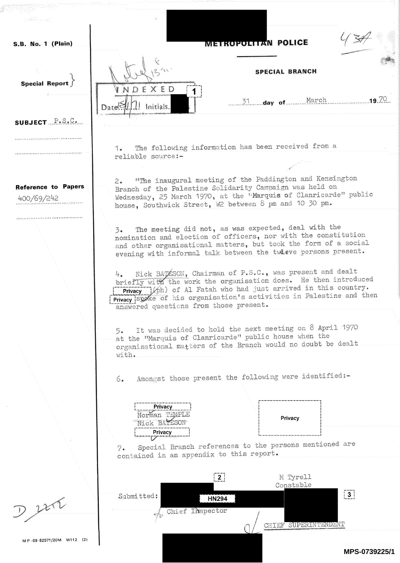j **METROPOLITAN POLICE** S.B. No. 1 (Plain) SPECIAL BRANCH Special Report  $\int$ DEXED H  $1$   $\ldots$  day of  $\ldots$  . Date<sup>15</sup> Initials SUBJECT  $\mathbb{P} \cdot \mathbb{S} \cdot \mathbb{C}$ . <sup>1</sup>. The following information has been received from <sup>a</sup> <sup>r</sup>eliable source: <sup>2</sup>. "The inaugural meeting of the Paddington and Kensington <sup>B</sup>ranch of the Palestine Solidarity Campaign was held on Reference to Papers Wednesday, 25 March 1970, at the <sup>T</sup>Marquis of Clanricarde" public 400/69/242 house, Southwick Street, W2 between 8 pm and 10 30 pm. <u>a di mandala de la provincia de la provincia de la provincia de la provincia de la provincia de la provincia de la provincia de la provincia de la provincia de la provincia de la provincia de la provincia de la provincia </u> <sup>3</sup>\* The meeting did rot, as was expected, deal with the <sup>n</sup>omination and election of officers, nor with the constitution .and other organisational matters., but took the form of a social evening with informal talk between the twieve persons present. 4. Nick BATESON, Chairman of P.S.C., was present and dealt briefly with the work the organisation does. He then introduced **Privacy** (oh) of Al Fatah who had just arrived in this country. iPrivacy spoke of his organisation's activities in Palestine and then i<sup>a</sup>nswered questions frem those present. <sup>5</sup>. It was decided to hold the next meeting on 8 April <sup>1970</sup> at the "Marquis of Clanricarde" public house when the <sup>o</sup>rganisational matters of the Branch would no doubt be dealt <sup>w</sup>ith, <sup>6</sup>. Amongst those present the following were identified:- **Privacy** Norman T Privacy Nick BATESON Privacy 74 Special Branch references to the persons mentioned are contained in an appendix to this report.  $2\,$  : M Tyrell <sup>C</sup>onstable  $\sqrt{3}$ Submitted:  $D227$ **HN294** Chief Inspector CHIEF SUPERINTENDENT M <sup>P</sup>-69 -82571/20M W112 (2) **MPS-0739225/1**